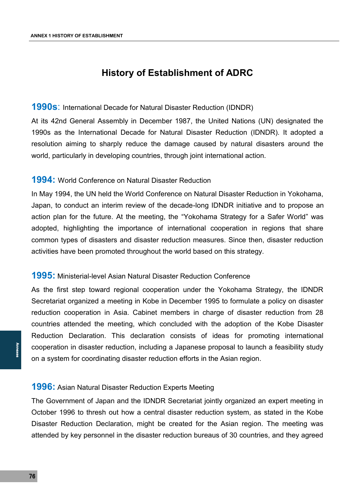# **History of Establishment of ADRC**

#### **1990s**: International Decade for Natural Disaster Reduction (IDNDR)

At its 42nd General Assembly in December 1987, the United Nations (UN) designated the 1990s as the International Decade for Natural Disaster Reduction (IDNDR). It adopted a resolution aiming to sharply reduce the damage caused by natural disasters around the world, particularly in developing countries, through joint international action.

#### **1994:** World Conference on Natural Disaster Reduction

In May 1994, the UN held the World Conference on Natural Disaster Reduction in Yokohama, Japan, to conduct an interim review of the decade-long IDNDR initiative and to propose an action plan for the future. At the meeting, the "Yokohama Strategy for a Safer World" was adopted, highlighting the importance of international cooperation in regions that share common types of disasters and disaster reduction measures. Since then, disaster reduction activities have been promoted throughout the world based on this strategy.

### **1995:** Ministerial-level Asian Natural Disaster Reduction Conference

As the first step toward regional cooperation under the Yokohama Strategy, the IDNDR Secretariat organized a meeting in Kobe in December 1995 to formulate a policy on disaster reduction cooperation in Asia. Cabinet members in charge of disaster reduction from 28 countries attended the meeting, which concluded with the adoption of the Kobe Disaster Reduction Declaration. This declaration consists of ideas for promoting international cooperation in disaster reduction, including a Japanese proposal to launch a feasibility study on a system for coordinating disaster reduction efforts in the Asian region.

### **1996:** Asian Natural Disaster Reduction Experts Meeting

Free conditions<br> **11:**<br>
The Conditions<br>
The Conditions<br>
The Conditions<br>
The Conditions<br>
The Conditions<br>
The Conditions<br>
The Conditions<br>
The Conditions<br>
The Conditions<br>
The Conditions<br>
The Conditions<br>
The Conditions<br>
The Co The Government of Japan and the IDNDR Secretariat jointly organized an expert meeting in October 1996 to thresh out how a central disaster reduction system, as stated in the Kobe Disaster Reduction Declaration, might be created for the Asian region. The meeting was attended by key personnel in the disaster reduction bureaus of 30 countries, and they agreed